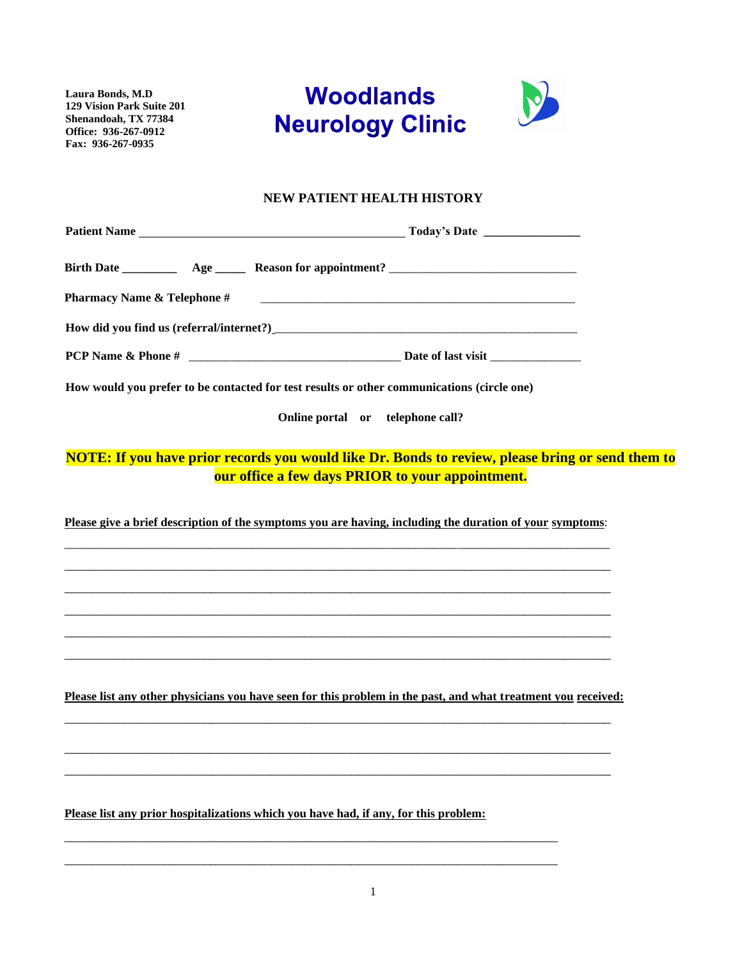**Laura Bonds, M.D 129 Vision Park Suite 201 Shenandoah, TX 77384 Office: 936-267-0912 Fax: 936-267-0935**





### **NEW PATIENT HEALTH HISTORY**

| <b>Pharmacy Name &amp; Telephone #</b> |                                                                                                                                                      |  |
|----------------------------------------|------------------------------------------------------------------------------------------------------------------------------------------------------|--|
|                                        |                                                                                                                                                      |  |
|                                        |                                                                                                                                                      |  |
|                                        | How would you prefer to be contacted for test results or other communications (circle one)                                                           |  |
|                                        | Online portal or telephone call?                                                                                                                     |  |
|                                        | NOTE: If you have prior records you would like Dr. Bonds to review, please bring or send them to<br>our office a few days PRIOR to your appointment. |  |
|                                        | Please give a brief description of the symptoms you are having, including the duration of your symptoms:                                             |  |
|                                        |                                                                                                                                                      |  |
|                                        |                                                                                                                                                      |  |
|                                        |                                                                                                                                                      |  |
|                                        |                                                                                                                                                      |  |
|                                        | Please list any other physicians you have seen for this problem in the past, and what treatment you received:                                        |  |
|                                        | <u> 1989 - Jan James James James James James James James James James James James James James James James James</u>                                   |  |
|                                        |                                                                                                                                                      |  |
|                                        | Please list any prior hospitalizations which you have had, if any, for this problem:                                                                 |  |

\_\_\_\_\_\_\_\_\_\_\_\_\_\_\_\_\_\_\_\_\_\_\_\_\_\_\_\_\_\_\_\_\_\_\_\_\_\_\_\_\_\_\_\_\_\_\_\_\_\_\_\_\_\_\_\_\_\_\_\_\_\_\_\_\_\_\_\_\_\_\_\_\_\_ \_\_\_\_\_\_\_\_\_\_\_\_\_\_\_\_\_\_\_\_\_\_\_\_\_\_\_\_\_\_\_\_\_\_\_\_\_\_\_\_\_\_\_\_\_\_\_\_\_\_\_\_\_\_\_\_\_\_\_\_\_\_\_\_\_\_\_\_\_\_\_\_\_\_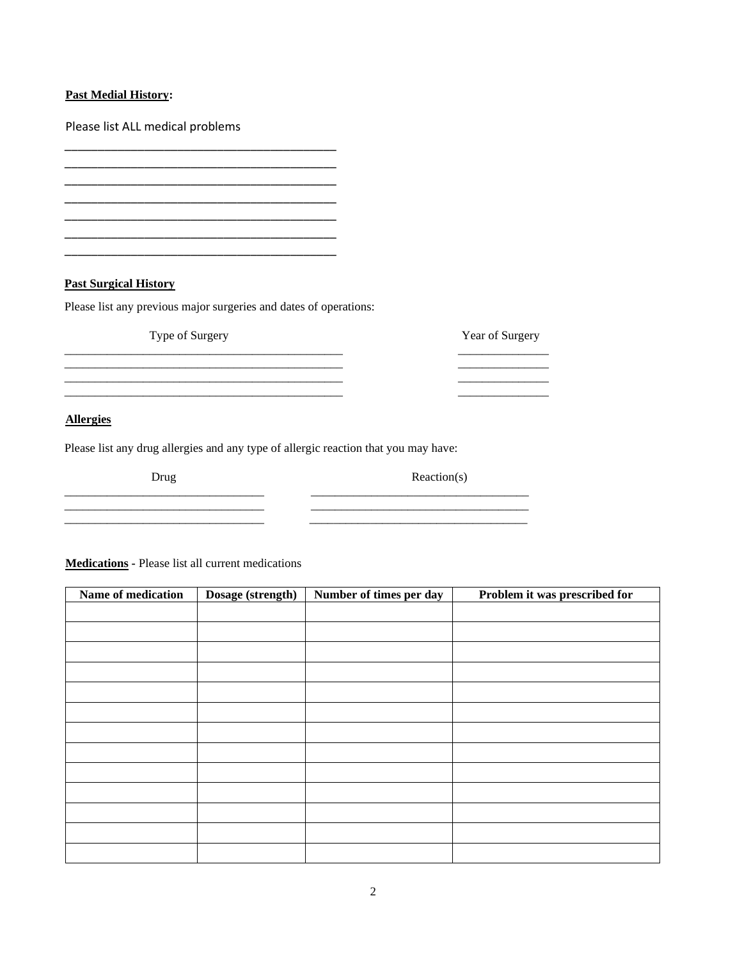### **Past Medial History:**

Please list ALL medical problems

**Past Surgical History** 

Please list any previous major surgeries and dates of operations:

\_\_\_\_\_\_\_\_\_\_\_\_\_\_\_\_\_\_\_\_\_\_\_\_\_\_\_\_\_\_\_\_\_\_\_\_\_\_\_\_\_

\_\_\_\_\_\_\_\_\_\_\_\_\_\_\_\_\_\_\_\_\_\_\_\_\_\_\_\_\_\_\_\_\_\_\_\_\_\_\_\_\_ \_\_\_\_\_\_\_\_\_\_\_\_\_\_\_\_\_\_\_\_\_\_\_\_\_\_\_\_\_\_\_\_\_\_\_\_\_\_\_\_\_ \_\_\_\_\_\_\_\_\_\_\_\_\_\_\_\_\_\_\_\_\_\_\_\_\_\_\_\_\_\_\_\_\_\_\_\_\_\_\_\_\_ \_\_\_\_\_\_\_\_\_\_\_\_\_\_\_\_\_\_\_\_\_\_\_\_\_\_\_\_\_\_\_\_\_\_\_\_\_\_\_\_\_

\_\_\_\_\_\_\_\_\_\_\_\_\_\_\_\_\_\_\_\_\_\_\_\_\_\_\_\_\_\_\_\_\_\_\_\_\_\_\_\_\_

Type of Surgery Year of Surgery \_\_\_\_\_\_\_\_\_\_\_\_\_\_\_\_\_\_\_\_\_\_\_\_\_\_\_\_\_\_\_\_\_\_\_\_\_\_\_\_\_\_\_\_\_\_ \_\_\_\_\_\_\_\_\_\_\_\_\_\_\_ \_\_\_\_\_\_\_\_\_\_\_\_\_\_\_\_\_\_\_\_\_\_\_\_\_\_\_\_\_\_\_\_\_\_\_\_\_\_\_\_\_\_\_\_\_\_ \_\_\_\_\_\_\_\_\_\_\_\_\_\_\_ \_\_\_\_\_\_\_\_\_\_\_\_\_\_\_\_\_\_\_\_\_\_\_\_\_\_\_\_\_\_\_\_\_\_\_\_\_\_\_\_\_\_\_\_\_\_ \_\_\_\_\_\_\_\_\_\_\_\_\_\_\_ \_\_\_\_\_\_\_\_\_\_\_\_\_\_\_\_\_\_\_\_\_\_\_\_\_\_\_\_\_\_\_\_\_\_\_\_\_\_\_\_\_\_\_\_\_\_ \_\_\_\_\_\_\_\_\_\_\_\_\_\_\_

\_\_\_\_\_\_\_\_\_\_\_\_\_\_\_\_\_\_\_\_\_\_\_\_\_\_\_\_\_\_\_\_\_ \_\_\_\_\_\_\_\_\_\_\_\_\_\_\_\_\_\_\_\_\_\_\_\_\_\_\_\_\_\_\_\_\_\_\_\_ \_\_\_\_\_\_\_\_\_\_\_\_\_\_\_\_\_\_\_\_\_\_\_\_\_\_\_\_\_\_\_\_\_ \_\_\_\_\_\_\_\_\_\_\_\_\_\_\_\_\_\_\_\_\_\_\_\_\_\_\_\_\_\_\_\_\_\_\_\_ \_\_\_\_\_\_\_\_\_\_\_\_\_\_\_\_\_\_\_\_\_\_\_\_\_\_\_\_\_\_\_\_\_ \_\_\_\_\_\_\_\_\_\_\_\_\_\_\_\_\_\_\_\_\_\_\_\_\_\_\_\_\_\_\_\_\_\_\_\_

### **Allergies**

Please list any drug allergies and any type of allergic reaction that you may have:

Drug Reaction(s)

**Medications -** Please list all current medications

| Name of medication | Dosage (strength) | Number of times per day | Problem it was prescribed for |  |
|--------------------|-------------------|-------------------------|-------------------------------|--|
|                    |                   |                         |                               |  |
|                    |                   |                         |                               |  |
|                    |                   |                         |                               |  |
|                    |                   |                         |                               |  |
|                    |                   |                         |                               |  |
|                    |                   |                         |                               |  |
|                    |                   |                         |                               |  |
|                    |                   |                         |                               |  |
|                    |                   |                         |                               |  |
|                    |                   |                         |                               |  |
|                    |                   |                         |                               |  |
|                    |                   |                         |                               |  |
|                    |                   |                         |                               |  |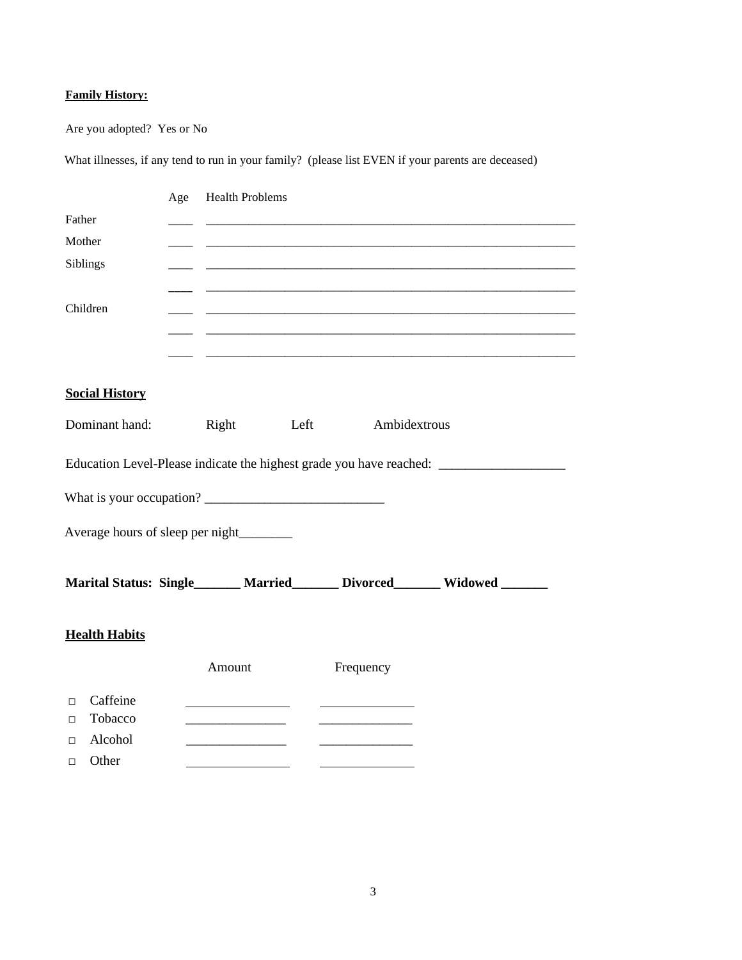## **Family History:**

Are you adopted? Yes or No

What illnesses, if any tend to run in your family? (please list EVEN if your parents are deceased)

|                                        | Age | <b>Health Problems</b> |  |           |                                                                          |  |
|----------------------------------------|-----|------------------------|--|-----------|--------------------------------------------------------------------------|--|
| Father                                 |     |                        |  |           |                                                                          |  |
| Mother                                 |     |                        |  |           |                                                                          |  |
| Siblings                               |     |                        |  |           |                                                                          |  |
|                                        |     |                        |  |           |                                                                          |  |
| Children                               |     |                        |  |           |                                                                          |  |
|                                        |     |                        |  |           |                                                                          |  |
|                                        |     |                        |  |           |                                                                          |  |
|                                        |     |                        |  |           |                                                                          |  |
| <b>Social History</b>                  |     |                        |  |           |                                                                          |  |
|                                        |     |                        |  |           |                                                                          |  |
| Dominant hand: Right Left Ambidextrous |     |                        |  |           |                                                                          |  |
|                                        |     |                        |  |           |                                                                          |  |
|                                        |     |                        |  |           |                                                                          |  |
| Average hours of sleep per night       |     |                        |  |           |                                                                          |  |
|                                        |     |                        |  |           |                                                                          |  |
|                                        |     |                        |  |           | Marital Status: Single______ Married______ Divorced______ Widowed ______ |  |
|                                        |     |                        |  |           |                                                                          |  |
| <b>Health Habits</b>                   |     |                        |  |           |                                                                          |  |
|                                        |     | Amount                 |  | Frequency |                                                                          |  |
| Caffeine<br>$\Box$                     |     |                        |  |           |                                                                          |  |
| Tobacco<br>$\Box$                      |     |                        |  |           |                                                                          |  |
| Alcohol<br>$\Box$                      |     |                        |  |           |                                                                          |  |
| Other<br>$\Box$                        |     |                        |  |           |                                                                          |  |